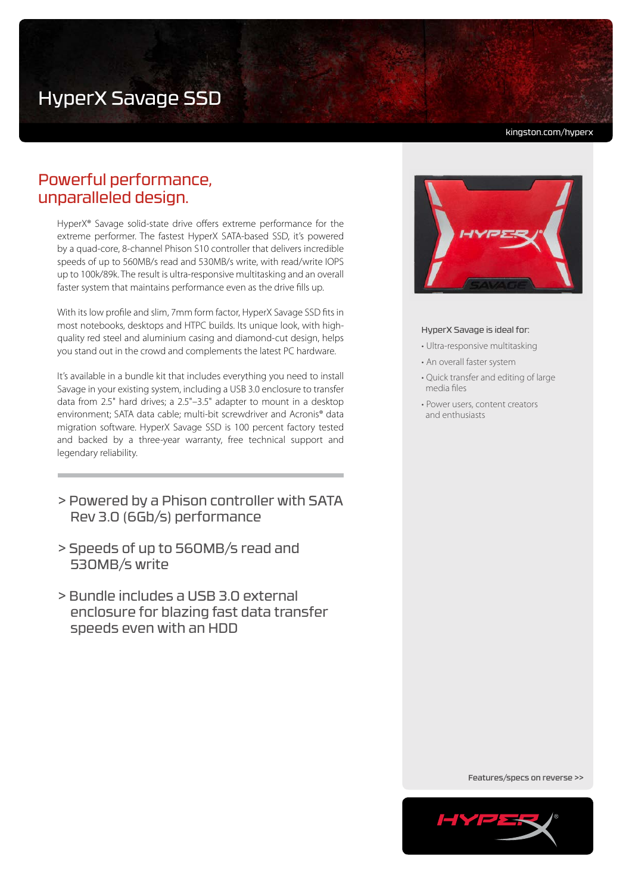# HyperX Savage SSD

kingston.com/hyperx

# Powerful performance, unparalleled design.

HyperX® Savage solid-state drive offers extreme performance for the extreme performer. The fastest HyperX SATA-based SSD, it's powered by a quad-core, 8-channel Phison S10 controller that delivers incredible speeds of up to 560MB/s read and 530MB/s write, with read/write IOPS up to 100k/89k. The result is ultra-responsive multitasking and an overall faster system that maintains performance even as the drive fills up.

With its low profile and slim, 7mm form factor, HyperX Savage SSD fits in most notebooks, desktops and HTPC builds. Its unique look, with highquality red steel and aluminium casing and diamond-cut design, helps you stand out in the crowd and complements the latest PC hardware.

It's available in a bundle kit that includes everything you need to install Savage in your existing system, including a USB 3.0 enclosure to transfer data from 2.5" hard drives; a 2.5"–3.5" adapter to mount in a desktop environment; SATA data cable; multi-bit screwdriver and Acronis® data migration software. HyperX Savage SSD is 100 percent factory tested and backed by a three-year warranty, free technical support and legendary reliability.

- > Powered by a Phison controller with SATA Rev 3.0 (6Gb/s) performance
- > Speeds of up to 560MB/s read and 530MB/s write
- > Bundle includes a USB 3.0 external enclosure for blazing fast data transfer speeds even with an HDD



### HyperX Savage is ideal for:

- Ultra-responsive multitasking
- An overall faster system
- Quick transfer and editing of large media files
- Power users, content creators and enthusiasts

Features/specs on reverse >>